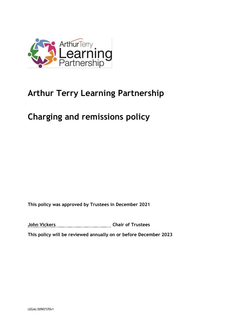

# **Arthur Terry Learning Partnership**

# **Charging and remissions policy**

**This policy was approved by Trustees in December 2021**

**John Vickers Chair of Trustees**

**This policy will be reviewed annually on or before December 2023**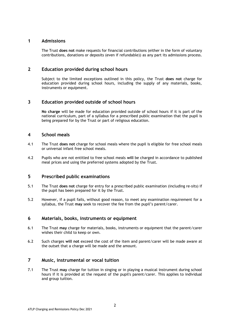## **1 Admissions**

The Trust **does not** make requests for financial contributions (either in the form of voluntary contributions, donations or deposits (even if refundable)) as any part its admissions process.

## **2 Education provided during school hours**

Subject to the limited exceptions outlined in this policy, the Trust **does not** charge for education provided during school hours, including the supply of any materials, books, instruments or equipment.

## **3 Education provided outside of school hours**

**No charge** will be made for education provided outside of school hours if it is part of the national curriculum, part of a syllabus for a prescribed public examination that the pupil is being prepared for by the Trust or part of religious education.

### **4 School meals**

- 4.1 The Trust **does not** charge for school meals where the pupil is eligible for free school meals or universal infant free school meals.
- 4.2 Pupils who are not entitled to free school meals **will** be charged in accordance to published meal prices and using the preferred systems adopted by the Trust.

### **5 Prescribed public examinations**

- 5.1 The Trust **does not** charge for entry for a prescribed public examination (including re-sits) if the pupil has been prepared for it by the Trust.
- 5.2 However, if a pupil fails, without good reason, to meet any examination requirement for a syllabus, the Trust **may** seek to recover the fee from the pupil's parent/carer.

### **6 Materials, books, instruments or equipment**

- 6.1 The Trust **may** charge for materials, books, instruments or equipment that the parent/carer wishes their child to keep or own.
- 6.2 Such charges **will not** exceed the cost of the item and parent/carer will be made aware at the outset that a charge will be made and the amount.

# **7 Music, instrumental or vocal tuition**

7.1 The Trust **may** charge for tuition in singing or in playing a musical instrument during school hours if it is provided at the request of the pupil's parent/carer. This applies to individual and group tuition.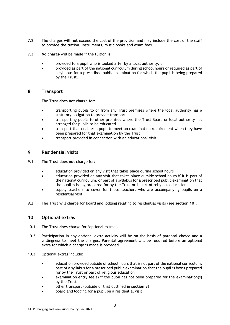- 7.2 The charges **will not** exceed the cost of the provision and may include the cost of the staff to provide the tuition, instruments, music books and exam fees.
- 7.3 **No charge** will be made if the tuition is:
	- provided to a pupil who is looked after by a local authority; or
	- provided as part of the national curriculum during school hours or required as part of a syllabus for a prescribed public examination for which the pupil is being prepared by the Trust.

### **8 Transport**

The Trust **does not** charge for:

- transporting pupils to or from any Trust premises where the local authority has a statutory obligation to provide transport
- transporting pupils to other premises where the Trust Board or local authority has arranged for pupils to be educated
- transport that enables a pupil to meet an examination requirement when they have been prepared for that examination by the Trust
- transport provided in connection with an educational visit

# **9 Residential visits**

- 9.1 The Trust **does not** charge for:
	- education provided on any visit that takes place during school hours
	- education provided on any visit that takes place outside school hours if it is part of the national curriculum, or part of a syllabus for a prescribed public examination that the pupil is being prepared for by the Trust or is part of religious education
	- supply teachers to cover for those teachers who are accompanying pupils on a residential visit
- 9.2 The Trust **will** charge for board and lodging relating to residential visits (see **section 10**).

### **10 Optional extras**

- 10.1 The Trust **does** charge for 'optional extras'.
- 10.2 Participation in any optional extra activity will be on the basis of parental choice and a willingness to meet the charges. Parental agreement will be required before an optional extra for which a charge is made is provided.
- 10.3 Optional extras include:
	- education provided outside of school hours that is not part of the national curriculum, part of a syllabus for a prescribed public examination that the pupil is being prepared for by the Trust or part of religious education
	- examination entry fee(s) if the pupil has not been prepared for the examination(s) by the Trust
	- other transport (outside of that outlined in **section 8**)
	- board and lodging for a pupil on a residential visit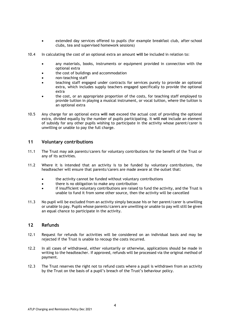- extended day services offered to pupils (for example breakfast club, after-school clubs, tea and supervised homework sessions)
- 10.4 In calculating the cost of an optional extra an amount **will** be included in relation to:
	- any materials, books, instruments or equipment provided in connection with the optional extra
	- the cost of buildings and accommodation
	- non-teaching staff
	- teaching staff engaged under contracts for services purely to provide an optional extra, which includes supply teachers engaged specifically to provide the optional extra
	- the cost, or an appropriate proportion of the costs, for teaching staff employed to provide tuition in playing a musical instrument, or vocal tuition, where the tuition is an optional extra
- 10.5 Any charge for an optional extra **will not** exceed the actual cost of providing the optional extra, divided equally by the number of pupils participating. It **will not** include an element of subsidy for any other pupils wishing to participate in the activity whose parent/carer is unwilling or unable to pay the full charge.

#### **11 Voluntary contributions**

- 11.1 The Trust may ask parents/carers for voluntary contributions for the benefit of the Trust or any of its activities.
- 11.2 Where it is intended that an activity is to be funded by voluntary contributions, the headteacher will ensure that parents/carers are made aware at the outset that:
	- the activity cannot be funded without voluntary contributions
	- there is no obligation to make any contribution
	- if insufficient voluntary contributions are raised to fund the activity, and the Trust is unable to fund it from some other source, then the activity will be cancelled
- 11.3 No pupil will be excluded from an activity simply because his or her parent/carer is unwilling or unable to pay. Pupils whose parents/carers are unwilling or unable to pay will still be given an equal chance to participate in the activity.

#### **12 Refunds**

- 12.1 Request for refunds for activities will be considered on an individual basis and may be rejected if the Trust is unable to recoup the costs incurred.
- 12.2 In all cases of withdrawal, either voluntarily or otherwise, applications should be made in writing to the headteacher. If approved, refunds will be processed via the original method of payment.
- 12.3 The Trust reserves the right not to refund costs where a pupil is withdrawn from an activity by the Trust on the basis of a pupil's breach of the Trust's behaviour policy.